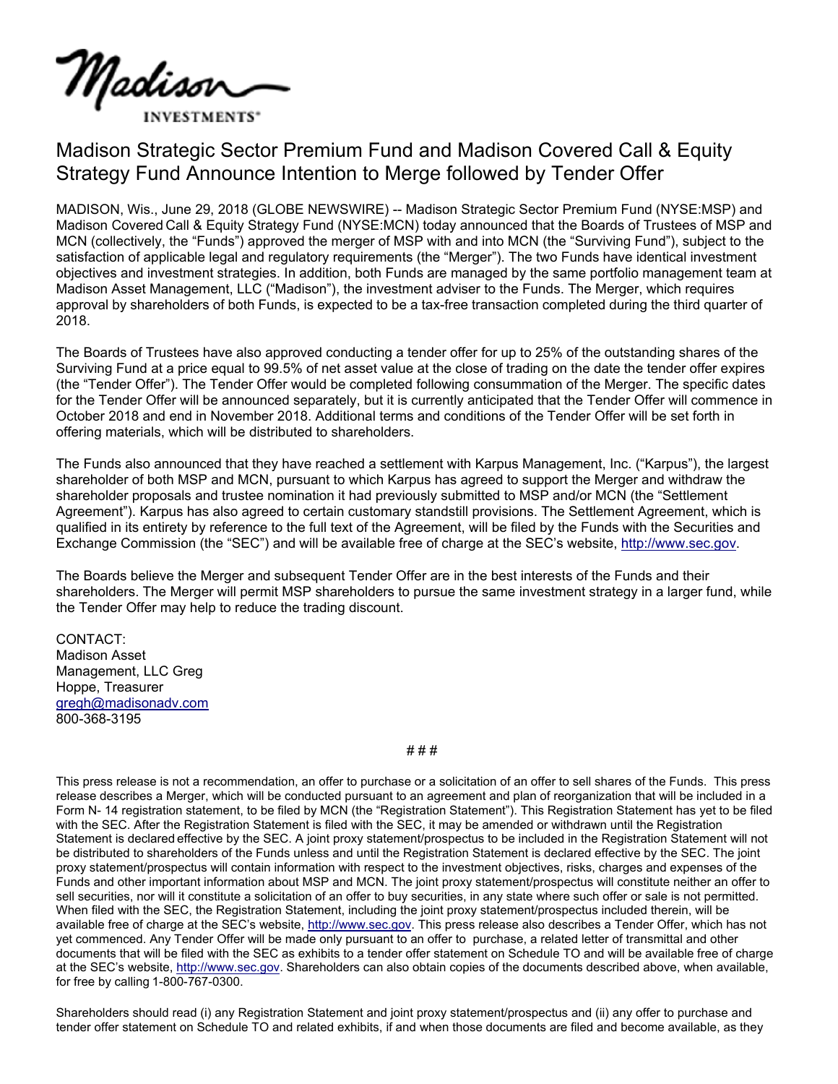

## Madison Strategic Sector Premium Fund and Madison Covered Call & Equity Strategy Fund Announce Intention to Merge followed by Tender Offer

MADISON, Wis., June 29, 2018 (GLOBE NEWSWIRE) -- Madison Strategic Sector Premium Fund (NYSE:MSP) and Madison Covered Call & Equity Strategy Fund (NYSE:MCN) today announced that the Boards of Trustees of MSP and MCN (collectively, the "Funds") approved the merger of MSP with and into MCN (the "Surviving Fund"), subject to the satisfaction of applicable legal and regulatory requirements (the "Merger"). The two Funds have identical investment objectives and investment strategies. In addition, both Funds are managed by the same portfolio management team at Madison Asset Management, LLC ("Madison"), the investment adviser to the Funds. The Merger, which requires approval by shareholders of both Funds, is expected to be a tax-free transaction completed during the third quarter of 2018.

The Boards of Trustees have also approved conducting a tender offer for up to 25% of the outstanding shares of the Surviving Fund at a price equal to 99.5% of net asset value at the close of trading on the date the tender offer expires (the "Tender Offer"). The Tender Offer would be completed following consummation of the Merger. The specific dates for the Tender Offer will be announced separately, but it is currently anticipated that the Tender Offer will commence in October 2018 and end in November 2018. Additional terms and conditions of the Tender Offer will be set forth in offering materials, which will be distributed to shareholders.

The Funds also announced that they have reached a settlement with Karpus Management, Inc. ("Karpus"), the largest shareholder of both MSP and MCN, pursuant to which Karpus has agreed to support the Merger and withdraw the shareholder proposals and trustee nomination it had previously submitted to MSP and/or MCN (the "Settlement Agreement"). Karpus has also agreed to certain customary standstill provisions. The Settlement Agreement, which is qualified in its entirety by reference to the full text of the Agreement, will be filed by the Funds with the Securities and Exchange Commission (the "SEC") and will be available free of charge at the SEC's website, http://www.sec.gov.

The Boards believe the Merger and subsequent Tender Offer are in the best interests of the Funds and their shareholders. The Merger will permit MSP shareholders to pursue the same investment strategy in a larger fund, while the Tender Offer may help to reduce the trading discount.

CONTACT: Madison Asset Management, LLC Greg Hoppe, Treasurer gregh@madisonadv.com 800-368-3195

# # #

This press release is not a recommendation, an offer to purchase or a solicitation of an offer to sell shares of the Funds. This press release describes a Merger, which will be conducted pursuant to an agreement and plan of reorganization that will be included in a Form N- 14 registration statement, to be filed by MCN (the "Registration Statement"). This Registration Statement has yet to be filed with the SEC. After the Registration Statement is filed with the SEC, it may be amended or withdrawn until the Registration Statement is declared effective by the SEC. A joint proxy statement/prospectus to be included in the Registration Statement will not be distributed to shareholders of the Funds unless and until the Registration Statement is declared effective by the SEC. The joint proxy statement/prospectus will contain information with respect to the investment objectives, risks, charges and expenses of the Funds and other important information about MSP and MCN. The joint proxy statement/prospectus will constitute neither an offer to sell securities, nor will it constitute a solicitation of an offer to buy securities, in any state where such offer or sale is not permitted. When filed with the SEC, the Registration Statement, including the joint proxy statement/prospectus included therein, will be available free of charge at the SEC's website, http://www.sec.gov. This press release also describes a Tender Offer, which has not yet commenced. Any Tender Offer will be made only pursuant to an offer to purchase, a related letter of transmittal and other documents that will be filed with the SEC as exhibits to a tender offer statement on Schedule TO and will be available free of charge at the SEC's website, http://www.sec.gov. Shareholders can also obtain copies of the documents described above, when available, for free by calling 1-800-767-0300.

Shareholders should read (i) any Registration Statement and joint proxy statement/prospectus and (ii) any offer to purchase and tender offer statement on Schedule TO and related exhibits, if and when those documents are filed and become available, as they